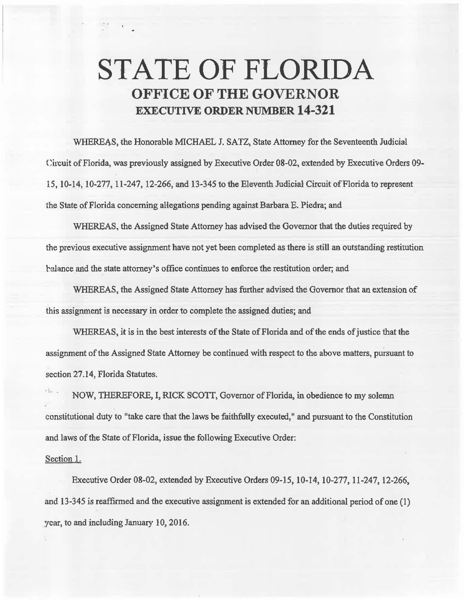## **STATE OF FLORIDA OFFICE OF THE GOVERNOR EXECUTIVE ORDER NUMBER 14-321**

WHEREAS, the Honorable MICHAEL J. SATZ, State Attorney for the Seventeenth Judicial Circuit of Florida, was previously assigned by Executive Order 08-02, extended by Executive Orders 09-15, 10-14, 10-277, 11-247, 12-266, and 13-345 to the Eleventh Judicial Circuit of Florida to represent the State of Florida concerning allegations pending against Barbara E. Piedra; and

WHEREAS, the Assigned State Attorney has advised the Governor that the duties required by the previous executive assignment have not yet been completed as there is still an outstanding restitution halance and the state attorney's office continues to enforce the restitution order; and

WHEREAS, the Assigned State Attorney has further advised the Governor that an extension of this assignment is necessary in order to complete the assigned duties; and

WHEREAS, it is in the best interests of the State of Florida and of the ends of justice that the assignment of the Assigned State Attorney be continued with respect to the above matters, pursuant to section 27.14, Florida Statutes.

NOW, THEREFORE, I, RICK SCOTT, Governor of Florida, in obedience to my solemn constitutional duty to "take care that the laws be faithfully executed," and pursuant to the Constitution and laws of the State of Florida, issue the following Executive Order:

## Section 1.

Executive Order 08-02, extended by Executive Orders 09-15, 10-14, 10-277, 11-247, 12-266, and 13-345 is reaffirmed and the executive assignment is extended for an additional period of one (1) year, to and including January 10, 2016.